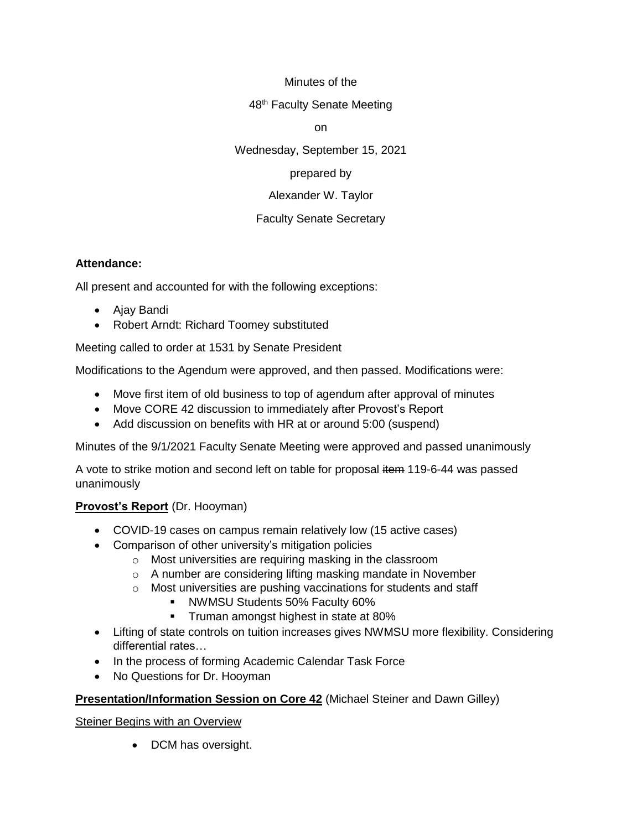## Minutes of the

#### 48<sup>th</sup> Faculty Senate Meeting

on

Wednesday, September 15, 2021

# prepared by

# Alexander W. Taylor

# Faculty Senate Secretary

## **Attendance:**

All present and accounted for with the following exceptions:

- Ajay Bandi
- Robert Arndt: Richard Toomey substituted

Meeting called to order at 1531 by Senate President

Modifications to the Agendum were approved, and then passed. Modifications were:

- Move first item of old business to top of agendum after approval of minutes
- Move CORE 42 discussion to immediately after Provost's Report
- Add discussion on benefits with HR at or around 5:00 (suspend)

Minutes of the 9/1/2021 Faculty Senate Meeting were approved and passed unanimously

A vote to strike motion and second left on table for proposal item 119-6-44 was passed unanimously

# **Provost's Report** (Dr. Hooyman)

- COVID-19 cases on campus remain relatively low (15 active cases)
- Comparison of other university's mitigation policies
	- o Most universities are requiring masking in the classroom
	- o A number are considering lifting masking mandate in November
	- o Most universities are pushing vaccinations for students and staff
		- **E** NWMSU Students 50% Faculty 60%
		- **•** Truman amongst highest in state at 80%
- Lifting of state controls on tuition increases gives NWMSU more flexibility. Considering differential rates…
- In the process of forming Academic Calendar Task Force
- No Questions for Dr. Hooyman

# **Presentation/Information Session on Core 42** (Michael Steiner and Dawn Gilley)

# Steiner Begins with an Overview

• DCM has oversight.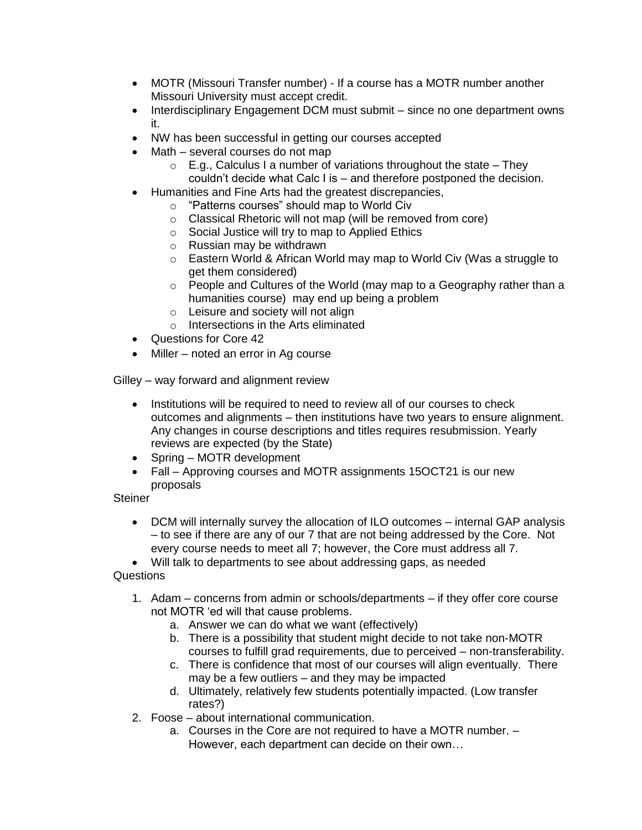- MOTR (Missouri Transfer number) If a course has a MOTR number another Missouri University must accept credit.
- Interdisciplinary Engagement DCM must submit since no one department owns it.
- NW has been successful in getting our courses accepted
- Math several courses do not map
	- $\circ$  E.g., Calculus I a number of variations throughout the state They couldn't decide what Calc I is – and therefore postponed the decision.
- Humanities and Fine Arts had the greatest discrepancies,
	- o "Patterns courses" should map to World Civ
	- o Classical Rhetoric will not map (will be removed from core)
	- o Social Justice will try to map to Applied Ethics
	- o Russian may be withdrawn
	- o Eastern World & African World may map to World Civ (Was a struggle to get them considered)
	- $\circ$  People and Cultures of the World (may map to a Geography rather than a humanities course) may end up being a problem
	- o Leisure and society will not align
	- o Intersections in the Arts eliminated
- Questions for Core 42
- Miller noted an error in Ag course

Gilley – way forward and alignment review

- Institutions will be required to need to review all of our courses to check outcomes and alignments – then institutions have two years to ensure alignment. Any changes in course descriptions and titles requires resubmission. Yearly reviews are expected (by the State)
- Spring MOTR development
- Fall Approving courses and MOTR assignments 15OCT21 is our new proposals

#### **Steiner**

• DCM will internally survey the allocation of ILO outcomes – internal GAP analysis – to see if there are any of our 7 that are not being addressed by the Core. Not every course needs to meet all 7; however, the Core must address all 7.

• Will talk to departments to see about addressing gaps, as needed Questions

- 1. Adam concerns from admin or schools/departments if they offer core course not MOTR 'ed will that cause problems.
	- a. Answer we can do what we want (effectively)
	- b. There is a possibility that student might decide to not take non-MOTR courses to fulfill grad requirements, due to perceived – non-transferability.
	- c. There is confidence that most of our courses will align eventually. There may be a few outliers – and they may be impacted
	- d. Ultimately, relatively few students potentially impacted. (Low transfer rates?)
- 2. Foose about international communication.
	- a. Courses in the Core are not required to have a MOTR number. However, each department can decide on their own…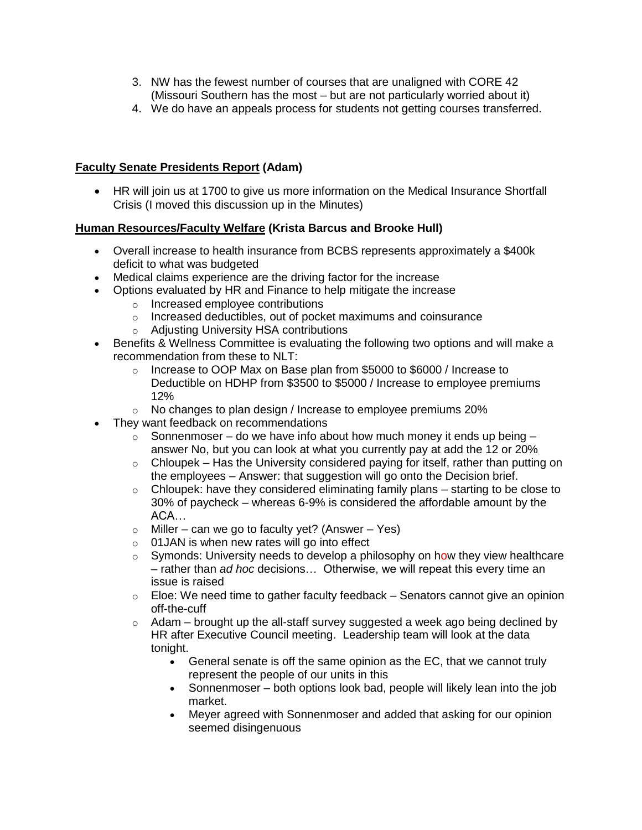- 3. NW has the fewest number of courses that are unaligned with CORE 42 (Missouri Southern has the most – but are not particularly worried about it)
- 4. We do have an appeals process for students not getting courses transferred.

# **Faculty Senate Presidents Report (Adam)**

• HR will join us at 1700 to give us more information on the Medical Insurance Shortfall Crisis (I moved this discussion up in the Minutes)

# **Human Resources/Faculty Welfare (Krista Barcus and Brooke Hull)**

- Overall increase to health insurance from BCBS represents approximately a \$400k deficit to what was budgeted
- Medical claims experience are the driving factor for the increase
- Options evaluated by HR and Finance to help mitigate the increase
	- o Increased employee contributions
	- o Increased deductibles, out of pocket maximums and coinsurance
	- o Adjusting University HSA contributions
- Benefits & Wellness Committee is evaluating the following two options and will make a recommendation from these to NLT:
	- $\circ$  Increase to OOP Max on Base plan from \$5000 to \$6000 / Increase to Deductible on HDHP from \$3500 to \$5000 / Increase to employee premiums 12%
	- o No changes to plan design / Increase to employee premiums 20%
- They want feedback on recommendations
	- $\circ$  Sonnenmoser do we have info about how much money it ends up being answer No, but you can look at what you currently pay at add the 12 or 20%
	- $\circ$  Chloupek Has the University considered paying for itself, rather than putting on the employees – Answer: that suggestion will go onto the Decision brief.
	- $\circ$  Chloupek: have they considered eliminating family plans starting to be close to 30% of paycheck – whereas 6-9% is considered the affordable amount by the ACA…
	- $\circ$  Miller can we go to faculty yet? (Answer Yes)
	- o 01JAN is when new rates will go into effect
	- $\circ$  Symonds: University needs to develop a philosophy on how they view healthcare – rather than *ad hoc* decisions… Otherwise, we will repeat this every time an issue is raised
	- $\circ$  Eloe: We need time to gather faculty feedback Senators cannot give an opinion off-the-cuff
	- $\circ$  Adam brought up the all-staff survey suggested a week ago being declined by HR after Executive Council meeting. Leadership team will look at the data tonight.
		- General senate is off the same opinion as the EC, that we cannot truly represent the people of our units in this
		- Sonnenmoser both options look bad, people will likely lean into the job market.
		- Meyer agreed with Sonnenmoser and added that asking for our opinion seemed disingenuous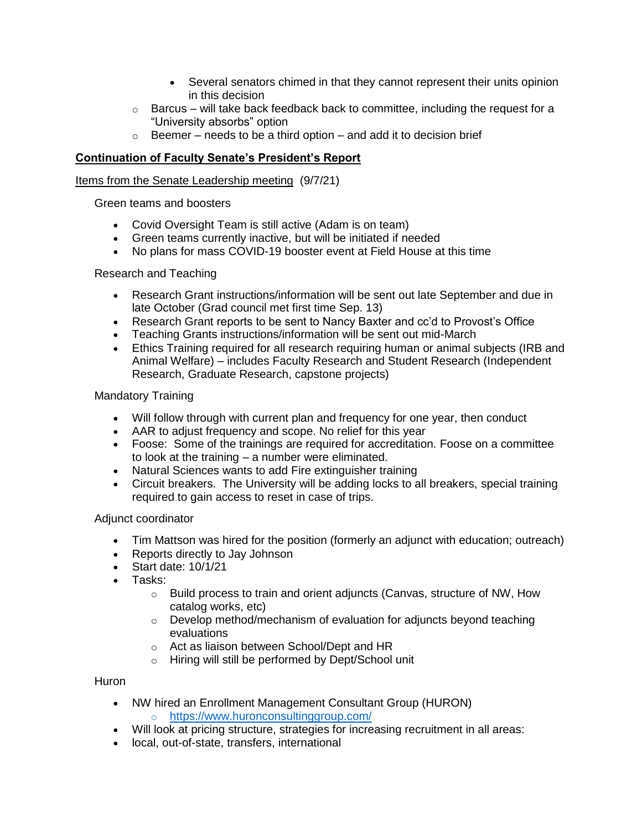- Several senators chimed in that they cannot represent their units opinion in this decision
- $\circ$  Barcus will take back feedback back to committee, including the request for a "University absorbs" option
- $\circ$  Beemer needs to be a third option and add it to decision brief

# **Continuation of Faculty Senate's President's Report**

#### Items from the Senate Leadership meeting (9/7/21)

Green teams and boosters

- Covid Oversight Team is still active (Adam is on team)
- Green teams currently inactive, but will be initiated if needed
- No plans for mass COVID-19 booster event at Field House at this time

## Research and Teaching

- Research Grant instructions/information will be sent out late September and due in late October (Grad council met first time Sep. 13)
- Research Grant reports to be sent to Nancy Baxter and cc'd to Provost's Office
- Teaching Grants instructions/information will be sent out mid-March
- Ethics Training required for all research requiring human or animal subjects (IRB and Animal Welfare) – includes Faculty Research and Student Research (Independent Research, Graduate Research, capstone projects)

## Mandatory Training

- Will follow through with current plan and frequency for one year, then conduct
- AAR to adjust frequency and scope. No relief for this year
- Foose: Some of the trainings are required for accreditation. Foose on a committee to look at the training – a number were eliminated.
- Natural Sciences wants to add Fire extinguisher training
- Circuit breakers. The University will be adding locks to all breakers, special training required to gain access to reset in case of trips.

#### Adjunct coordinator

- Tim Mattson was hired for the position (formerly an adjunct with education; outreach)
- Reports directly to Jay Johnson
- Start date: 10/1/21
- Tasks:
	- o Build process to train and orient adjuncts (Canvas, structure of NW, How catalog works, etc)
	- $\circ$  Develop method/mechanism of evaluation for adjuncts beyond teaching evaluations
	- o Act as liaison between School/Dept and HR
	- o Hiring will still be performed by Dept/School unit

#### **Huron**

- NW hired an Enrollment Management Consultant Group (HURON) o <https://www.huronconsultinggroup.com/>
- Will look at pricing structure, strategies for increasing recruitment in all areas:
- local, out-of-state, transfers, international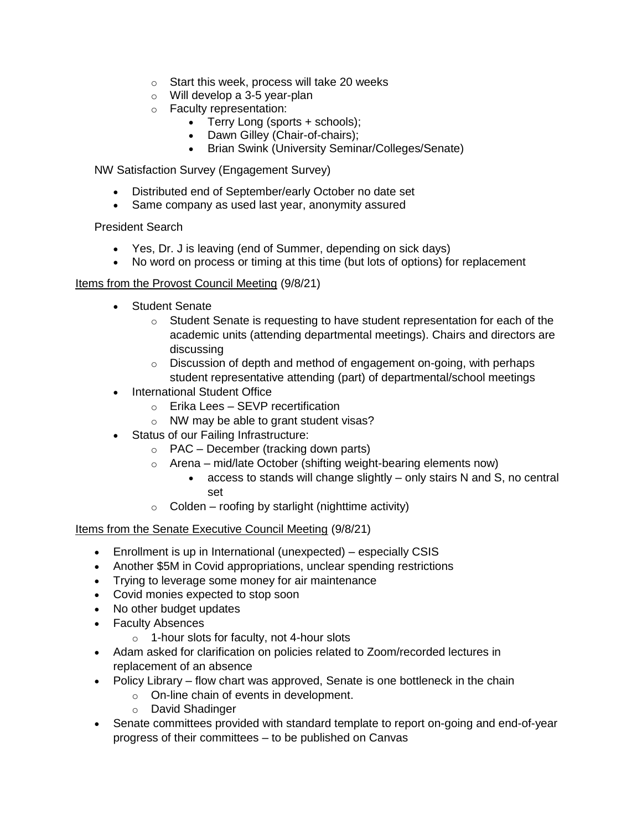- o Start this week, process will take 20 weeks
- o Will develop a 3-5 year-plan
- o Faculty representation:
	- Terry Long (sports + schools);
	- Dawn Gilley (Chair-of-chairs);
	- Brian Swink (University Seminar/Colleges/Senate)

NW Satisfaction Survey (Engagement Survey)

- Distributed end of September/early October no date set
- Same company as used last year, anonymity assured

President Search

- Yes, Dr. J is leaving (end of Summer, depending on sick days)
- No word on process or timing at this time (but lots of options) for replacement

#### Items from the Provost Council Meeting (9/8/21)

- Student Senate
	- $\circ$  Student Senate is requesting to have student representation for each of the academic units (attending departmental meetings). Chairs and directors are discussing
	- o Discussion of depth and method of engagement on-going, with perhaps student representative attending (part) of departmental/school meetings
- International Student Office
	- o Erika Lees SEVP recertification
	- o NW may be able to grant student visas?
- Status of our Failing Infrastructure:
	- $\circ$  PAC December (tracking down parts)
	- $\circ$  Arena mid/late October (shifting weight-bearing elements now)
		- access to stands will change slightly only stairs N and S, no central set
	- $\circ$  Colden roofing by starlight (nighttime activity)

Items from the Senate Executive Council Meeting (9/8/21)

- Enrollment is up in International (unexpected) especially CSIS
- Another \$5M in Covid appropriations, unclear spending restrictions
- Trying to leverage some money for air maintenance
- Covid monies expected to stop soon
- No other budget updates
- Faculty Absences
	- o 1-hour slots for faculty, not 4-hour slots
- Adam asked for clarification on policies related to Zoom/recorded lectures in replacement of an absence
- Policy Library flow chart was approved, Senate is one bottleneck in the chain
	- o On-line chain of events in development.
	- o David Shadinger
- Senate committees provided with standard template to report on-going and end-of-year progress of their committees – to be published on Canvas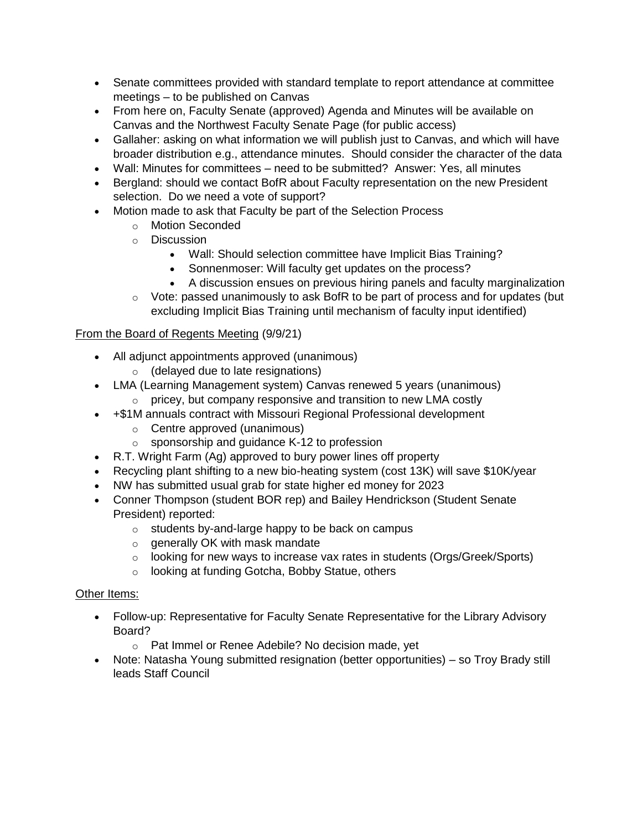- Senate committees provided with standard template to report attendance at committee meetings – to be published on Canvas
- From here on, Faculty Senate (approved) Agenda and Minutes will be available on Canvas and the Northwest Faculty Senate Page (for public access)
- Gallaher: asking on what information we will publish just to Canvas, and which will have broader distribution e.g., attendance minutes. Should consider the character of the data
- Wall: Minutes for committees need to be submitted? Answer: Yes, all minutes
- Bergland: should we contact BofR about Faculty representation on the new President selection. Do we need a vote of support?
- Motion made to ask that Faculty be part of the Selection Process
	- o Motion Seconded
	- o Discussion
		- Wall: Should selection committee have Implicit Bias Training?
		- Sonnenmoser: Will faculty get updates on the process?
		- A discussion ensues on previous hiring panels and faculty marginalization
	- $\circ$  Vote: passed unanimously to ask BofR to be part of process and for updates (but excluding Implicit Bias Training until mechanism of faculty input identified)

# From the Board of Regents Meeting (9/9/21)

- All adjunct appointments approved (unanimous)
	- o (delayed due to late resignations)
- LMA (Learning Management system) Canvas renewed 5 years (unanimous)
	- $\circ$  pricey, but company responsive and transition to new LMA costly
- +\$1M annuals contract with Missouri Regional Professional development
	- o Centre approved (unanimous)
	- o sponsorship and guidance K-12 to profession
- R.T. Wright Farm (Ag) approved to bury power lines off property
- Recycling plant shifting to a new bio-heating system (cost 13K) will save \$10K/year
- NW has submitted usual grab for state higher ed money for 2023
- Conner Thompson (student BOR rep) and Bailey Hendrickson (Student Senate President) reported:
	- $\circ$  students by-and-large happy to be back on campus
	- o generally OK with mask mandate
	- $\circ$  looking for new ways to increase vax rates in students (Orgs/Greek/Sports)
	- o looking at funding Gotcha, Bobby Statue, others

# Other Items:

- Follow-up: Representative for Faculty Senate Representative for the Library Advisory Board?
	- o Pat Immel or Renee Adebile? No decision made, yet
- Note: Natasha Young submitted resignation (better opportunities) so Troy Brady still leads Staff Council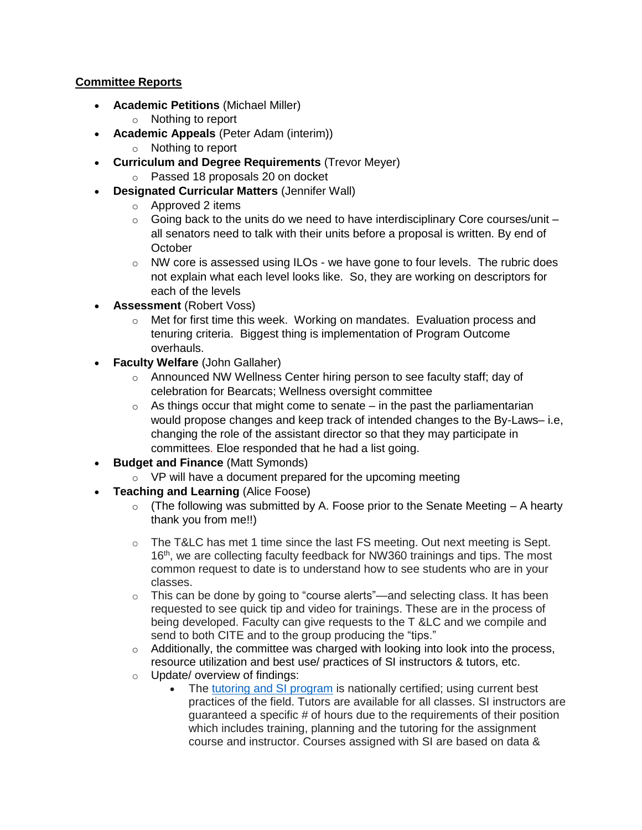# **Committee Reports**

- **Academic Petitions** (Michael Miller)
	- o Nothing to report
- **Academic Appeals** (Peter Adam (interim))
	- o Nothing to report
- **Curriculum and Degree Requirements** (Trevor Meyer)
	- o Passed 18 proposals 20 on docket
- **Designated Curricular Matters** (Jennifer Wall)
	- o Approved 2 items
	- $\circ$  Going back to the units do we need to have interdisciplinary Core courses/unit all senators need to talk with their units before a proposal is written. By end of **October**
	- $\circ$  NW core is assessed using ILOs we have gone to four levels. The rubric does not explain what each level looks like. So, they are working on descriptors for each of the levels
- **Assessment** (Robert Voss)
	- $\circ$  Met for first time this week. Working on mandates. Evaluation process and tenuring criteria. Biggest thing is implementation of Program Outcome overhauls.
- **Faculty Welfare** (John Gallaher)
	- o Announced NW Wellness Center hiring person to see faculty staff; day of celebration for Bearcats; Wellness oversight committee
	- $\circ$  As things occur that might come to senate in the past the parliamentarian would propose changes and keep track of intended changes to the By-Laws– i.e, changing the role of the assistant director so that they may participate in committees. Eloe responded that he had a list going.
- **Budget and Finance** (Matt Symonds)
	- $\circ$  VP will have a document prepared for the upcoming meeting
- **Teaching and Learning (Alice Foose)** 
	- $\circ$  (The following was submitted by A. Foose prior to the Senate Meeting A hearty thank you from me!!)
	- $\circ$  The T&LC has met 1 time since the last FS meeting. Out next meeting is Sept. 16<sup>th</sup>, we are collecting faculty feedback for NW360 trainings and tips. The most common request to date is to understand how to see students who are in your classes.
	- $\circ$  This can be done by going to "course alerts"—and selecting class. It has been requested to see quick tip and video for trainings. These are in the process of being developed. Faculty can give requests to the T &LC and we compile and send to both CITE and to the group producing the "tips."
	- $\circ$  Additionally, the committee was charged with looking into look into the process, resource utilization and best use/ practices of SI instructors & tutors, etc. o Update/ overview of findings:
		- The tutoring and SI [program](https://www.nwmissouri.edu/studentsuccess/support.htm) is nationally certified; using current best
			- practices of the field. Tutors are available for all classes. SI instructors are guaranteed a specific # of hours due to the requirements of their position which includes training, planning and the tutoring for the assignment course and instructor. Courses assigned with SI are based on data &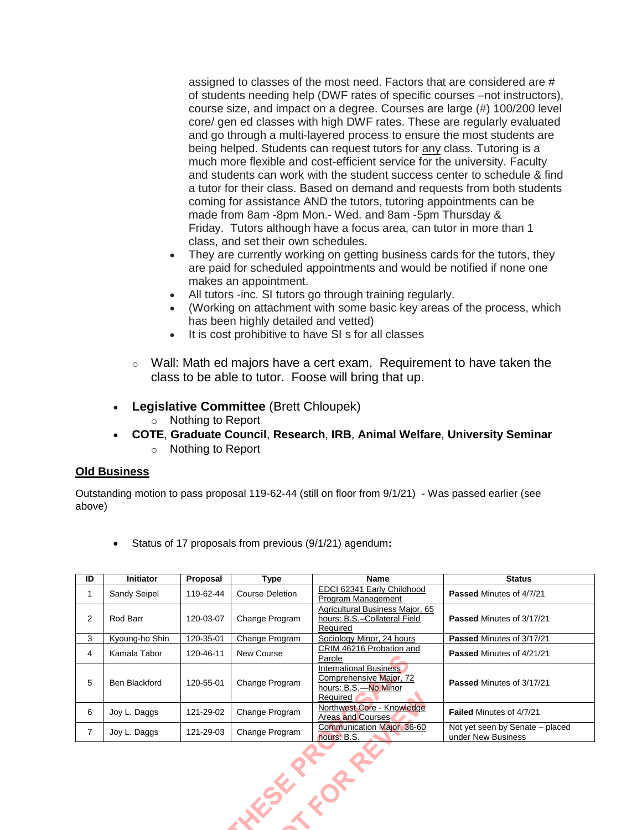assigned to classes of the most need. Factors that are considered are # of students needing help (DWF rates of specific courses –not instructors), course size, and impact on a degree. Courses are large (#) 100/200 level core/ gen ed classes with high DWF rates. These are regularly evaluated and go through a multi-layered process to ensure the most students are being helped. Students can request tutors for any class. Tutoring is a much more flexible and cost-efficient service for the university. Faculty and students can work with the student success center to schedule & find a tutor for their class. Based on demand and requests from both students coming for assistance AND the tutors, tutoring appointments can be made from 8am -8pm Mon.- Wed. and 8am -5pm Thursday & Friday. Tutors although have a focus area, can tutor in more than 1 class, and set their own schedules.

- They are currently working on getting business cards for the tutors, they are paid for scheduled appointments and would be notified if none one makes an appointment.
- All tutors -inc. SI tutors go through training regularly.
- (Working on attachment with some basic key areas of the process, which has been highly detailed and vetted)
- It is cost prohibitive to have SI s for all classes
- $\circ$  Wall: Math ed majors have a cert exam. Requirement to have taken the class to be able to tutor. Foose will bring that up.
- **Legislative Committee** (Brett Chloupek)
	- o Nothing to Report
- **COTE**, **Graduate Council**, **Research**, **IRB**, **Animal Welfare**, **University Seminar** o Nothing to Report

#### **Old Business**

Outstanding motion to pass proposal 119-62-44 (still on floor from 9/1/21) - Was passed earlier (see above)

• Status of 17 proposals from previous (9/1/21) agendum**:**

| ID | <b>Initiator</b>    | Proposal  | Type                   | <b>Name</b>                                                                                  | <b>Status</b>                                         |
|----|---------------------|-----------|------------------------|----------------------------------------------------------------------------------------------|-------------------------------------------------------|
|    | <b>Sandy Seipel</b> | 119-62-44 | <b>Course Deletion</b> | EDCI 62341 Early Childhood<br>Program Management                                             | <b>Passed Minutes of 4/7/21</b>                       |
| 2  | Rod Barr            | 120-03-07 | Change Program         | Agricultural Business Major, 65<br>hours: B.S.-Collateral Field<br>Required                  | <b>Passed Minutes of 3/17/21</b>                      |
| 3  | Kyoung-ho Shin      | 120-35-01 | Change Program         | Sociology Minor, 24 hours                                                                    | Passed Minutes of 3/17/21                             |
| 4  | Kamala Tabor        | 120-46-11 | New Course             | CRIM 46216 Probation and<br>Parole                                                           | <b>Passed Minutes of 4/21/21</b>                      |
| 5  | Ben Blackford       | 120-55-01 | Change Program         | <b>International Business</b><br>Comprehensive Major, 72<br>hours: B.S.-No Minor<br>Required | <b>Passed Minutes of 3/17/21</b>                      |
| 6  | Joy L. Daggs        | 121-29-02 | Change Program         | Northwest Core - Knowledge<br>Areas and Courses                                              | <b>Failed Minutes of 4/7/21</b>                       |
| 7  | Joy L. Daggs        | 121-29-03 | Change Program         | Communication Major, 36-60<br>hours: B.S.                                                    | Not yet seen by Senate - placed<br>under New Business |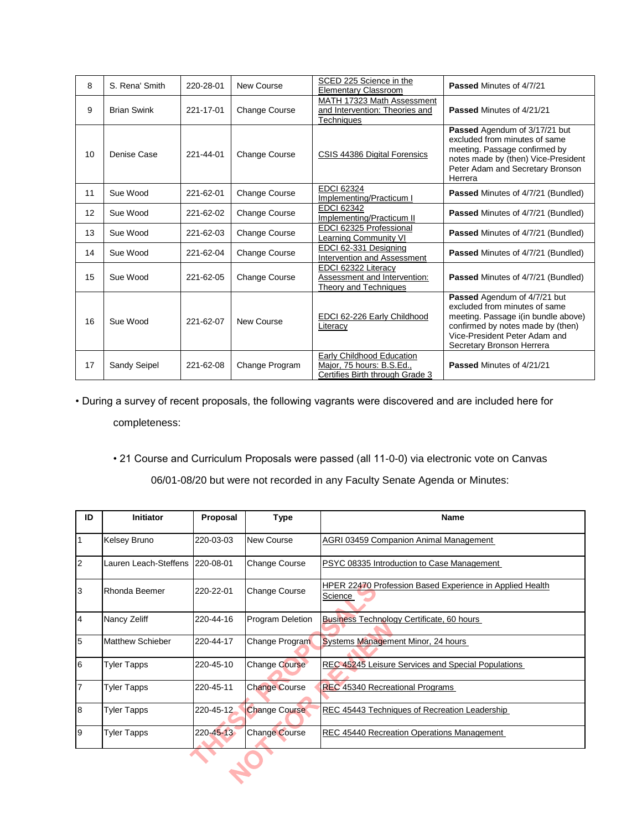| 8  | S. Rena' Smith     | 220-28-01 | New Course           | SCED 225 Science in the<br><b>Elementary Classroom</b>                                    | Passed Minutes of 4/7/21                                                                                                                                                                                |
|----|--------------------|-----------|----------------------|-------------------------------------------------------------------------------------------|---------------------------------------------------------------------------------------------------------------------------------------------------------------------------------------------------------|
| 9  | <b>Brian Swink</b> | 221-17-01 | Change Course        | MATH 17323 Math Assessment<br>and Intervention: Theories and<br>Techniques                | Passed Minutes of 4/21/21                                                                                                                                                                               |
| 10 | Denise Case        | 221-44-01 | Change Course        | CSIS 44386 Digital Forensics                                                              | Passed Agendum of 3/17/21 but<br>excluded from minutes of same<br>meeting. Passage confirmed by<br>notes made by (then) Vice-President<br>Peter Adam and Secretary Bronson<br>Herrera                   |
| 11 | Sue Wood           | 221-62-01 | Change Course        | <b>EDCI 62324</b><br>Implementing/Practicum                                               | <b>Passed Minutes of 4/7/21 (Bundled)</b>                                                                                                                                                               |
| 12 | Sue Wood           | 221-62-02 | Change Course        | <b>EDCI 62342</b><br>Implementing/Practicum II                                            | Passed Minutes of 4/7/21 (Bundled)                                                                                                                                                                      |
| 13 | Sue Wood           | 221-62-03 | <b>Change Course</b> | EDCI 62325 Professional<br>Learning Community VI                                          | <b>Passed Minutes of 4/7/21 (Bundled)</b>                                                                                                                                                               |
| 14 | Sue Wood           | 221-62-04 | Change Course        | EDCI 62-331 Designing<br>Intervention and Assessment                                      | Passed Minutes of 4/7/21 (Bundled)                                                                                                                                                                      |
| 15 | Sue Wood           | 221-62-05 | Change Course        | <b>EDCI 62322 Literacy</b><br>Assessment and Intervention:<br>Theory and Techniques       | <b>Passed Minutes of 4/7/21 (Bundled)</b>                                                                                                                                                               |
| 16 | Sue Wood           | 221-62-07 | New Course           | EDCI 62-226 Early Childhood<br>Literacy                                                   | Passed Agendum of 4/7/21 but<br>excluded from minutes of same<br>meeting. Passage i(in bundle above)<br>confirmed by notes made by (then)<br>Vice-President Peter Adam and<br>Secretary Bronson Herrera |
| 17 | Sandy Seipel       | 221-62-08 | Change Program       | Early Childhood Education<br>Major, 75 hours: B.S.Ed.,<br>Certifies Birth through Grade 3 | Passed Minutes of 4/21/21                                                                                                                                                                               |

# • During a survey of recent proposals, the following vagrants were discovered and are included here for completeness:

• 21 Course and Curriculum Proposals were passed (all 11-0-0) via electronic vote on Canvas

06/01-08/20 but were not recorded in any Faculty Senate Agenda or Minutes:

| ID              | Initiator               | Proposal        | <b>Type</b>          | <b>Name</b>                                                         |
|-----------------|-------------------------|-----------------|----------------------|---------------------------------------------------------------------|
| 1               | <b>Kelsey Bruno</b>     | 220-03-03       | <b>New Course</b>    | AGRI 03459 Companion Animal Management                              |
| $\overline{2}$  | Lauren Leach-Steffens   | 220-08-01       | <b>Change Course</b> | PSYC 08335 Introduction to Case Management                          |
| 3               | Rhonda Beemer           | 220-22-01       | <b>Change Course</b> | HPER 22470 Profession Based Experience in Applied Health<br>Science |
| $\overline{4}$  | Nancy Zeliff            | 220-44-16       | Program Deletion     | <b>Business Technology Certificate, 60 hours</b>                    |
| 5               | <b>Matthew Schieber</b> | 220-44-17       | Change Program       | Systems Management Minor, 24 hours                                  |
| $6\phantom{1}6$ | <b>Tyler Tapps</b>      | 220-45-10       | <b>Change Course</b> | REC 45245 Leisure Services and Special Populations                  |
| $\overline{7}$  | <b>Tyler Tapps</b>      | 220-45-11       | <b>Change Course</b> | <b>REC 45340 Recreational Programs</b>                              |
| 8               | <b>Tyler Tapps</b>      | 220-45-12       | <b>Change Course</b> | REC 45443 Techniques of Recreation Leadership                       |
| 9               | <b>Tyler Tapps</b>      | $220 - 45 - 13$ | Change Course        | REC 45440 Recreation Operations Management                          |
|                 |                         |                 |                      |                                                                     |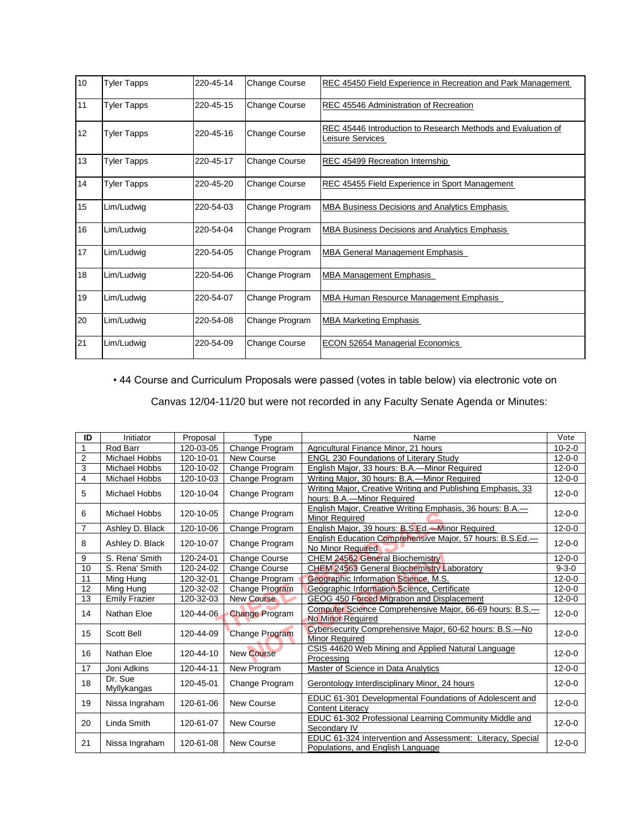| 10 | <b>Tyler Tapps</b> | 220-45-14 | Change Course        | REC 45450 Field Experience in Recreation and Park Management                     |
|----|--------------------|-----------|----------------------|----------------------------------------------------------------------------------|
| 11 | <b>Tyler Tapps</b> | 220-45-15 | Change Course        | REC 45546 Administration of Recreation                                           |
| 12 | <b>Tyler Tapps</b> | 220-45-16 | Change Course        | REC 45446 Introduction to Research Methods and Evaluation of<br>Leisure Services |
| 13 | <b>Tyler Tapps</b> | 220-45-17 | Change Course        | REC 45499 Recreation Internship                                                  |
| 14 | <b>Tyler Tapps</b> | 220-45-20 | <b>Change Course</b> | REC 45455 Field Experience in Sport Management                                   |
| 15 | Lim/Ludwig         | 220-54-03 | Change Program       | MBA Business Decisions and Analytics Emphasis                                    |
| 16 | Lim/Ludwig         | 220-54-04 | Change Program       | MBA Business Decisions and Analytics Emphasis                                    |
| 17 | Lim/Ludwig         | 220-54-05 | Change Program       | MBA General Management Emphasis                                                  |
| 18 | Lim/Ludwig         | 220-54-06 | Change Program       | <b>MBA Management Emphasis</b>                                                   |
| 19 | Lim/Ludwig         | 220-54-07 | Change Program       | MBA Human Resource Management Emphasis                                           |
| 20 | Lim/Ludwig         | 220-54-08 | Change Program       | <b>MBA Marketing Emphasis</b>                                                    |
| 21 | Lim/Ludwig         | 220-54-09 | <b>Change Course</b> | <b>ECON 52654 Managerial Economics</b>                                           |

• 44 Course and Curriculum Proposals were passed (votes in table below) via electronic vote on

Canvas 12/04-11/20 but were not recorded in any Faculty Senate Agenda or Minutes:

| ID             | Initiator              | Proposal  | Type                  | Name                                                                                            | Vote         |
|----------------|------------------------|-----------|-----------------------|-------------------------------------------------------------------------------------------------|--------------|
| 1              | Rod Barr               | 120-03-05 | Change Program        | Agricultural Finance Minor, 21 hours                                                            | $10 - 2 - 0$ |
| $\overline{2}$ | <b>Michael Hobbs</b>   | 120-10-01 | New Course            | <b>ENGL 230 Foundations of Literary Study</b>                                                   | $12 - 0 - 0$ |
| 3              | <b>Michael Hobbs</b>   | 120-10-02 | Change Program        | English Major, 33 hours: B.A.-Minor Required                                                    | $12 - 0 - 0$ |
| 4              | Michael Hobbs          | 120-10-03 | Change Program        | Writing Major, 30 hours: B.A.—Minor Required                                                    | $12 - 0 - 0$ |
| 5              | <b>Michael Hobbs</b>   | 120-10-04 | Change Program        | Writing Major, Creative Writing and Publishing Emphasis, 33<br>hours: B.A.-Minor Required       | $12 - 0 - 0$ |
| 6              | Michael Hobbs          | 120-10-05 | Change Program        | English Major, Creative Writing Emphasis, 36 hours: B.A.<br><b>Minor Required</b>               | $12 - 0 - 0$ |
| $\overline{7}$ | Ashley D. Black        | 120-10-06 | Change Program        | English Major, 39 hours: B.S.Ed.-Minor Required                                                 | $12 - 0 - 0$ |
| 8              | Ashley D. Black        | 120-10-07 | Change Program        | English Education Comprehensive Major, 57 hours: B.S.Ed.-<br>No Minor Required                  | $12 - 0 - 0$ |
| 9              | S. Rena' Smith         | 120-24-01 | <b>Change Course</b>  | <b>CHEM 24562 General Biochemistry</b>                                                          | $12 - 0 - 0$ |
| 10             | S. Rena' Smith         | 120-24-02 | <b>Change Course</b>  | <b>CHEM 24563 General Biochemistry Laboratory</b>                                               | $9 - 3 - 0$  |
| 11             | Ming Hung              | 120-32-01 | Change Program        | Geographic Information Science, M.S.                                                            | $12 - 0 - 0$ |
| 12             | Ming Hung              | 120-32-02 | Change Program        | Geographic Information Science, Certificate                                                     | $12 - 0 - 0$ |
| 13             | <b>Emily Frazier</b>   | 120-32-03 | <b>New Course</b>     | GEOG 450 Forced Migration and Displacement                                                      | $12 - 0 - 0$ |
| 14             | Nathan Eloe            | 120-44-06 | <b>Change Program</b> | Computer Science Comprehensive Major, 66-69 hours: B.S.-<br><b>No Minor Required</b>            | $12 - 0 - 0$ |
| 15             | Scott Bell             | 120-44-09 | <b>Change Program</b> | Cybersecurity Comprehensive Major, 60-62 hours: B.S.-No<br>Minor Required                       | $12 - 0 - 0$ |
| 16             | Nathan Eloe            | 120-44-10 | <b>New Course</b>     | CSIS 44620 Web Mining and Applied Natural Language<br>Processing                                | $12 - 0 - 0$ |
| 17             | Joni Adkins            | 120-44-11 | New Program           | Master of Science in Data Analytics                                                             | $12 - 0 - 0$ |
| 18             | Dr. Sue<br>Myllykangas | 120-45-01 | Change Program        | Gerontology Interdisciplinary Minor, 24 hours                                                   | $12 - 0 - 0$ |
| 19             | Nissa Ingraham         | 120-61-06 | New Course            | EDUC 61-301 Developmental Foundations of Adolescent and<br><b>Content Literacv</b>              | $12 - 0 - 0$ |
| 20             | Linda Smith            | 120-61-07 | New Course            | EDUC 61-302 Professional Learning Community Middle and<br>Secondary IV                          | $12 - 0 - 0$ |
| 21             | Nissa Ingraham         | 120-61-08 | New Course            | EDUC 61-324 Intervention and Assessment: Literacy, Special<br>Populations, and English Language | $12 - 0 - 0$ |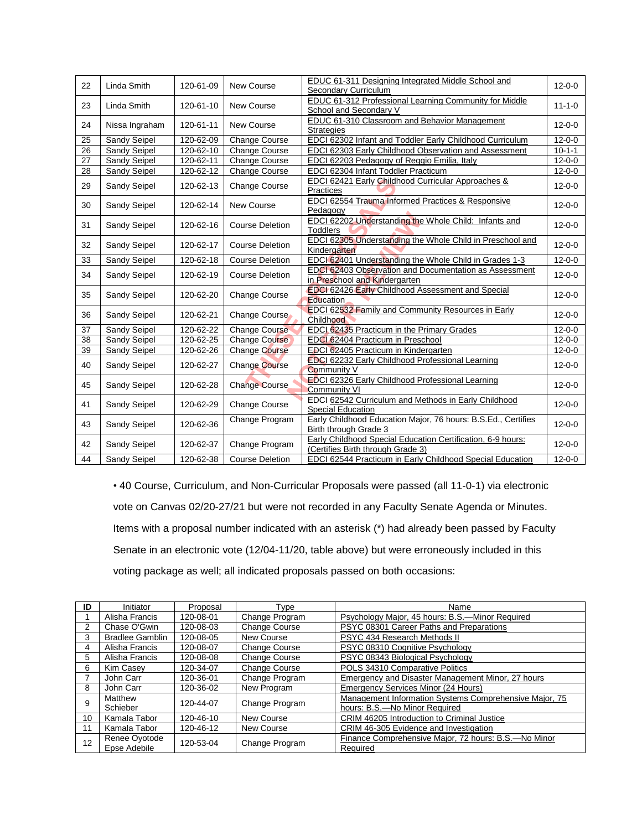| 22              | Linda Smith    | 120-61-09       | New Course             | EDUC 61-311 Designing Integrated Middle School and<br>Secondary Curriculum                       | $12 - 0 - 0$ |
|-----------------|----------------|-----------------|------------------------|--------------------------------------------------------------------------------------------------|--------------|
| 23              | Linda Smith    | 120-61-10       | New Course             | EDUC 61-312 Professional Learning Community for Middle<br>School and Secondary V                 | $11 - 1 - 0$ |
| 24              | Nissa Ingraham | 120-61-11       | New Course             | <b>EDUC 61-310 Classroom and Behavior Management</b><br><b>Strategies</b>                        | $12 - 0 - 0$ |
| 25              | Sandy Seipel   | 120-62-09       | <b>Change Course</b>   | EDCI 62302 Infant and Toddler Early Childhood Curriculum                                         | $12 - 0 - 0$ |
| $\overline{26}$ | Sandy Seipel   | 120-62-10       | <b>Change Course</b>   | EDCI 62303 Early Childhood Observation and Assessment                                            | $10 - 1 - 1$ |
| 27              | Sandy Seipel   | $120 - 62 - 11$ | Change Course          | EDCI 62203 Pedagogy of Reggio Emilia, Italy                                                      | $12 - 0 - 0$ |
| 28              | Sandy Seipel   | 120-62-12       | Change Course          | EDCI 62304 Infant Toddler Practicum                                                              | $12 - 0 - 0$ |
| 29              | Sandy Seipel   | 120-62-13       | Change Course          | EDCI 62421 Early Childhood Curricular Approaches &<br>Practices                                  | $12 - 0 - 0$ |
| 30              | Sandy Seipel   | 120-62-14       | New Course             | <b>EDCI 62554 Trauma Informed Practices &amp; Responsive</b><br>Pedagogy                         | $12 - 0 - 0$ |
| 31              | Sandy Seipel   | 120-62-16       | <b>Course Deletion</b> | EDCI 62202 Understanding the Whole Child: Infants and<br><b>Toddlers</b>                         | $12 - 0 - 0$ |
| 32              | Sandy Seipel   | 120-62-17       | Course Deletion        | EDCI 62305 Understanding the Whole Child in Preschool and<br>Kindergarten                        | $12 - 0 - 0$ |
| 33              | Sandy Seipel   | 120-62-18       | <b>Course Deletion</b> | EDCI 62401 Understanding the Whole Child in Grades 1-3                                           | $12 - 0 - 0$ |
| 34              | Sandy Seipel   | 120-62-19       | <b>Course Deletion</b> | EDCI 62403 Observation and Documentation as Assessment<br>in Preschool and Kindergarten          | $12 - 0 - 0$ |
| 35              | Sandy Seipel   | 120-62-20       | <b>Change Course</b>   | <b>EDCI 62426 Early Childhood Assessment and Special</b><br>Education                            | $12 - 0 - 0$ |
| 36              | Sandy Seipel   | 120-62-21       | Change Course          | <b>EDCI 62532 Family and Community Resources in Early</b><br>Childhood                           | $12 - 0 - 0$ |
| 37              | Sandy Seipel   | 120-62-22       | <b>Change Course</b>   | EDCL 62435 Practicum in the Primary Grades                                                       | $12 - 0 - 0$ |
| 38              | Sandy Seipel   | 120-62-25       | <b>Change Course</b>   | EDCI 62404 Practicum in Preschool                                                                | $12 - 0 - 0$ |
| 39              | Sandy Seipel   | 120-62-26       | <b>Change Course</b>   | EDCI 62405 Practicum in Kindergarten                                                             | $12 - 0 - 0$ |
| 40              | Sandy Seipel   | 120-62-27       | <b>Change Course</b>   | <b>EDCI 62232 Early Childhood Professional Learning</b><br><b>Community V</b>                    | $12 - 0 - 0$ |
| 45              | Sandy Seipel   | 120-62-28       | <b>Change Course</b>   | EDCI 62326 Early Childhood Professional Learning<br>Community VI                                 | $12 - 0 - 0$ |
| 41              | Sandy Seipel   | 120-62-29       | Change Course          | EDCI 62542 Curriculum and Methods in Early Childhood<br><b>Special Education</b>                 | $12 - 0 - 0$ |
| 43              | Sandy Seipel   | 120-62-36       | Change Program         | Early Childhood Education Major, 76 hours: B.S.Ed., Certifies<br>Birth through Grade 3           | $12 - 0 - 0$ |
| 42              | Sandy Seipel   | 120-62-37       | Change Program         | Early Childhood Special Education Certification, 6-9 hours:<br>(Certifies Birth through Grade 3) | $12 - 0 - 0$ |
| 44              | Sandy Seipel   | 120-62-38       | <b>Course Deletion</b> | <b>EDCI 62544 Practicum in Early Childhood Special Education</b>                                 | $12 - 0 - 0$ |

• 40 Course, Curriculum, and Non-Curricular Proposals were passed (all 11-0-1) via electronic vote on Canvas 02/20-27/21 but were not recorded in any Faculty Senate Agenda or Minutes. Items with a proposal number indicated with an asterisk (\*) had already been passed by Faculty Senate in an electronic vote (12/04-11/20, table above) but were erroneously included in this voting package as well; all indicated proposals passed on both occasions:

| ID | Initiator              | Proposal  | Type                 | Name                                                   |
|----|------------------------|-----------|----------------------|--------------------------------------------------------|
|    | Alisha Francis         | 120-08-01 | Change Program       | Psychology Major, 45 hours: B.S.-Minor Required        |
|    | Chase O'Gwin           | 120-08-03 | Change Course        | PSYC 08301 Career Paths and Preparations               |
| 3  | <b>Bradlee Gamblin</b> | 120-08-05 | New Course           | PSYC 434 Research Methods II                           |
| 4  | Alisha Francis         | 120-08-07 | <b>Change Course</b> | PSYC 08310 Cognitive Psychology                        |
| 5  | Alisha Francis         | 120-08-08 | <b>Change Course</b> | PSYC 08343 Biological Psychology                       |
| 6  | <b>Kim Casev</b>       | 120-34-07 | <b>Change Course</b> | POLS 34310 Comparative Politics                        |
|    | John Carr              | 120-36-01 | Change Program       | Emergency and Disaster Management Minor, 27 hours      |
| 8  | John Carr              | 120-36-02 | New Program          | Emergency Services Minor (24 Hours)                    |
| 9  | Matthew                | 120-44-07 | Change Program       | Management Information Systems Comprehensive Major, 75 |
|    | Schieber               |           |                      | hours: B.S.-No Minor Required                          |
| 10 | Kamala Tabor           | 120-46-10 | New Course           | CRIM 46205 Introduction to Criminal Justice            |
| 11 | Kamala Tabor           | 120-46-12 | <b>New Course</b>    | CRIM 46-305 Evidence and Investigation                 |
| 12 | Renee Oyotode          | 120-53-04 | Change Program       | Finance Comprehensive Major, 72 hours: B.S.-No Minor   |
|    | Epse Adebile           |           |                      | Required                                               |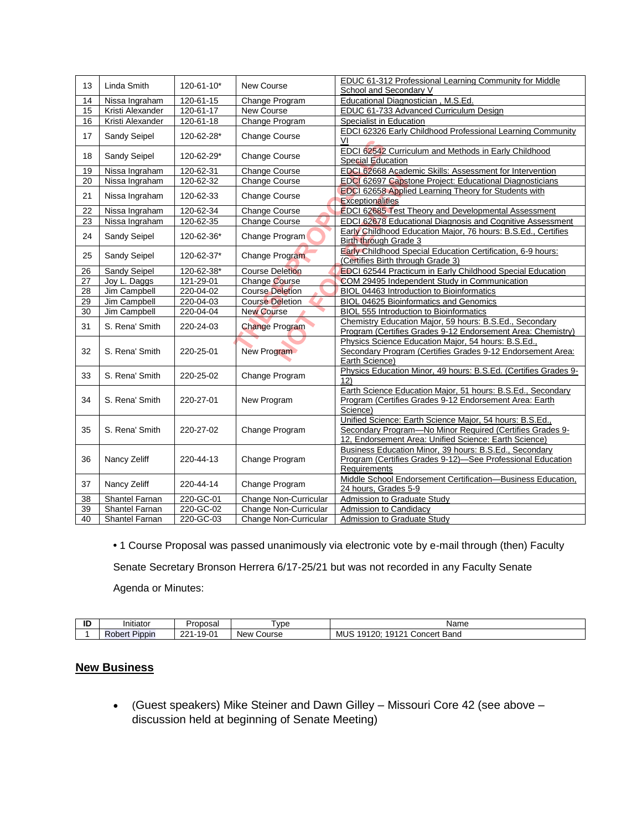| 13              | Linda Smith      | 120-61-10* | <b>New Course</b>      | EDUC 61-312 Professional Learning Community for Middle<br>School and Secondary V                                                                                              |
|-----------------|------------------|------------|------------------------|-------------------------------------------------------------------------------------------------------------------------------------------------------------------------------|
| 14              | Nissa Ingraham   | 120-61-15  | Change Program         | Educational Diagnostician, M.S.Ed.                                                                                                                                            |
| 15              | Kristi Alexander | 120-61-17  | New Course             | EDUC 61-733 Advanced Curriculum Design                                                                                                                                        |
| 16              | Kristi Alexander | 120-61-18  | Change Program         | Specialist in Education                                                                                                                                                       |
|                 |                  |            |                        | EDCI 62326 Early Childhood Professional Learning Community                                                                                                                    |
| 17              | Sandy Seipel     | 120-62-28* | Change Course          | V <sub>l</sub>                                                                                                                                                                |
| 18              | Sandy Seipel     | 120-62-29* | Change Course          | <b>EDCI 62542 Curriculum and Methods in Early Childhood</b><br>Special Education                                                                                              |
| 19              | Nissa Ingraham   | 120-62-31  | <b>Change Course</b>   | EDCI 62668 Academic Skills: Assessment for Intervention                                                                                                                       |
| 20              | Nissa Ingraham   | 120-62-32  | <b>Change Course</b>   | EDCI 62697 Capstone Project: Educational Diagnosticians                                                                                                                       |
| 21              | Nissa Ingraham   | 120-62-33  | <b>Change Course</b>   | <b>EDCI 62658 Applied Learning Theory for Students with</b><br><b>Exceptionalities</b>                                                                                        |
| 22              | Nissa Ingraham   | 120-62-34  | <b>Change Course</b>   | <b>EDCI 62685 Test Theory and Developmental Assessment</b>                                                                                                                    |
| 23              | Nissa Ingraham   | 120-62-35  | <b>Change Course</b>   | EDCI 62678 Educational Diagnosis and Cognitive Assessment                                                                                                                     |
|                 |                  |            |                        | Early Childhood Education Major, 76 hours: B.S.Ed., Certifies                                                                                                                 |
| 24              | Sandy Seipel     | 120-62-36* | Change Program         | Birth through Grade 3                                                                                                                                                         |
|                 |                  |            |                        | <b>Early Childhood Special Education Certification, 6-9 hours:</b>                                                                                                            |
| 25              | Sandy Seipel     | 120-62-37* | Change Program         | (Certifies Birth through Grade 3)                                                                                                                                             |
| 26              | Sandy Seipel     | 120-62-38* | <b>Course Deletion</b> | EDCI 62544 Practicum in Early Childhood Special Education                                                                                                                     |
| 27              | Joy L. Daggs     | 121-29-01  | Change Course          | COM 29495 Independent Study in Communication                                                                                                                                  |
| 28              | Jim Campbell     | 220-04-02  | <b>Course Deletion</b> | BIOL 04463 Introduction to Bioinformatics                                                                                                                                     |
| 29              | Jim Campbell     | 220-04-03  | <b>Course Deletion</b> | BIOL 04625 Bioinformatics and Genomics                                                                                                                                        |
| $\overline{30}$ | Jim Campbell     | 220-04-04  | <b>New Course</b>      | <b>BIOL 555 Introduction to Bioinformatics</b>                                                                                                                                |
| 31              | S. Rena' Smith   | 220-24-03  | <b>Change Program</b>  | Chemistry Education Major, 59 hours: B.S.Ed., Secondary<br>Program (Certifies Grades 9-12 Endorsement Area: Chemistry)                                                        |
| 32              | S. Rena' Smith   | 220-25-01  | New Program            | Physics Science Education Major, 54 hours: B.S.Ed.,<br>Secondary Program (Certifies Grades 9-12 Endorsement Area:<br>Earth Science)                                           |
| 33              | S. Rena' Smith   | 220-25-02  | Change Program         | Physics Education Minor, 49 hours: B.S.Ed. (Certifies Grades 9-<br>12)                                                                                                        |
| 34              | S. Rena' Smith   | 220-27-01  | New Program            | Earth Science Education Major, 51 hours: B.S.Ed., Secondary<br>Program (Certifies Grades 9-12 Endorsement Area: Earth<br>Science)                                             |
| 35              | S. Rena' Smith   | 220-27-02  | Change Program         | Unified Science: Earth Science Major, 54 hours: B.S.Ed.,<br>Secondary Program-No Minor Required (Certifies Grades 9-<br>12, Endorsement Area: Unified Science: Earth Science) |
| 36              | Nancy Zeliff     | 220-44-13  | Change Program         | Business Education Minor, 39 hours: B.S.Ed., Secondary<br>Program (Certifies Grades 9-12)-See Professional Education<br>Requirements                                          |
| 37              | Nancy Zeliff     | 220-44-14  | Change Program         | Middle School Endorsement Certification-Business Education,<br>24 hours, Grades 5-9                                                                                           |
| 38              | Shantel Farnan   | 220-GC-01  | Change Non-Curricular  | Admission to Graduate Study                                                                                                                                                   |
| 39              | Shantel Farnan   | 220-GC-02  | Change Non-Curricular  | Admission to Candidacy                                                                                                                                                        |
| 40              | Shantel Farnan   | 220-GC-03  | Change Non-Curricular  | <b>Admission to Graduate Study</b>                                                                                                                                            |

**•** 1 Course Proposal was passed unanimously via electronic vote by e-mail through (then) Faculty Senate Secretary Bronson Herrera 6/17-25/21 but was not recorded in any Faculty Senate Agenda or Minutes:

| ID | $\cdots$<br>Initiator        | Proposal                   | vpe                  | Name                                                                                                         |
|----|------------------------------|----------------------------|----------------------|--------------------------------------------------------------------------------------------------------------|
|    | $-$<br>-<br>Pippir<br>Robert | 10.01<br>0.24<br>ນ-ບ<br>-- | Course<br><b>New</b> | $\cdots$<br>1912'<br>$\overline{\phantom{0}}$<br>20:<br>۵1 ا<br>Band<br>MUS<br>าcert<br><b>∪on</b> c<br>- 11 |

#### **New Business**

• (Guest speakers) Mike Steiner and Dawn Gilley – Missouri Core 42 (see above – discussion held at beginning of Senate Meeting)